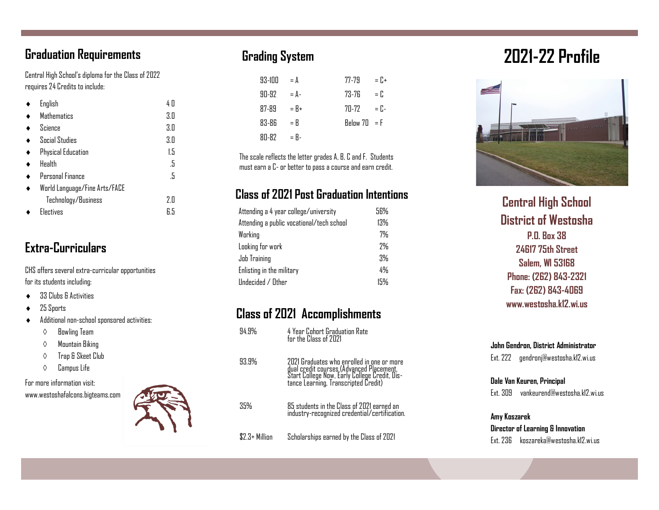## Graduation Requirements

Central High School's diploma for the Class of 2022 requires 24 Credits to include:

| English                       | 4 O |
|-------------------------------|-----|
| <b>Mathematics</b>            | 3.0 |
| Science                       | 3.0 |
| <b>Social Studies</b>         | 3.0 |
| <b>Physical Education</b>     | 1.5 |
| Health                        | .5  |
| Personal Finance              | .5  |
| World Language/Fine Arts/FACE |     |
| Technology/Business           | 2.0 |
| <b>Electives</b>              | 6.5 |

## Extra -Curriculars

CHS offers several extra -curricular opportunities for its students including:

- ◆ 33 Clubs & Activities
- 25 Sports
- ¨ Additional non-school sponsored activities:
	- $\diamond$  Bowling Team
	- $\diamond$  Mountain Biking
	- $\Diamond$  Trap & Skeet Club
	- $\Diamond$  Campus Life

For more information visit: www.westoshafalcons.bigteams.com



## Grading System

| $93-100$ | $= A$   | $77-79$                                   | $= \Gamma +$ |
|----------|---------|-------------------------------------------|--------------|
| 90-92    | $= A -$ | 73-76                                     | = r.         |
| 87-89    | $= R+$  | 70-72                                     | $= \Gamma -$ |
| 83-86    | = R     | $\mathsf{Relnw} \mathsf{7n} = \mathsf{F}$ |              |
| 80-82    | $= R -$ |                                           |              |

The scale reflects the letter grades A, B, C and F. Students must earn a C - or better to pass a course and earn credit.

## Class of 2021 Post Graduation Intentions

| Attending a 4 year college/university     | 56% |
|-------------------------------------------|-----|
| Attending a public vocational/tech school | 13% |
| Working                                   | 7%  |
| Looking for work                          | ን%  |
| Job Training                              | 3%  |
| Enlisting in the military                 | 4%  |
| Undecided / Other                         | 15% |

## Class of 2021 Accomplishments

| 94.9%           | 4 Year Cohort Graduation Rate<br>for the Class of 2021                                                                                                                          |
|-----------------|---------------------------------------------------------------------------------------------------------------------------------------------------------------------------------|
| 93.9%           | 2021 Graduates who enrolled in one or more<br>dual credit courses (Advanced Placement,<br>Start College Now, Early College Credit, Dis-<br>tance Learning, Transcripted Credit) |
| 35%             | 85 students in the Class of 2021 earned an<br>industry-recognized credential/certification.                                                                                     |
| $$2.3+$ Million | Scholarships earned by the Class of 2021                                                                                                                                        |

# 2021 -22 Profile



Central High School District of Westosha P.O. Box 38 24617 75th Street Salem, WI 53168 Phone: (262) 843 -2321 Fax: (262) 843 -4069 www.westosha.k12.wi.us

#### John Gendron, District Administrator Ext. 222 gendronj@westosha.k12.wi.us

Dale Van Keuren, Principal Ext. 309 vankeurend@westosha.k12.wi.us

### Amy Koszarek

### Director of Learning & Innovation Ext. 236 koszareka@westosha.k12.wi.us